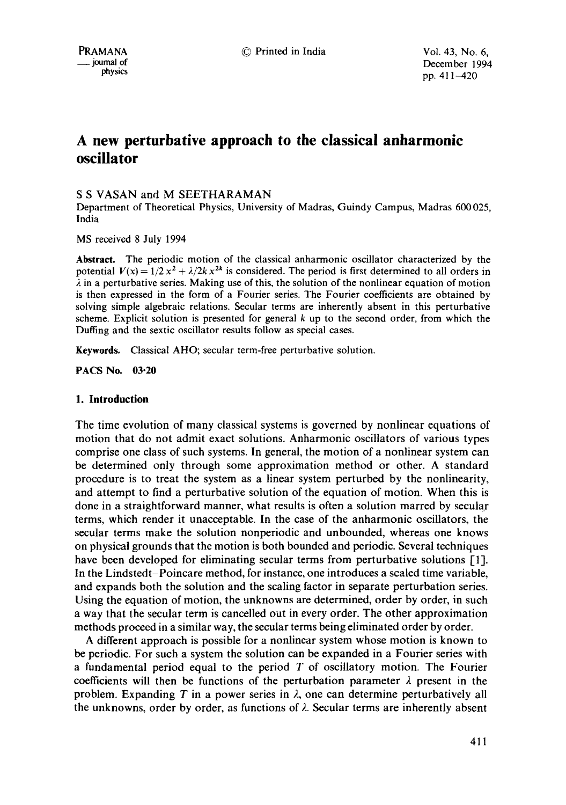PRAMANA © Printed in India Vol. 43, No. 6,  $\mu$ mal of December 1994<br>  $\mu$  physics  $\mu$  and  $\mu$  and  $\mu$  and  $\mu$  and  $\mu$  and  $\mu$  and  $\mu$  and  $\mu$  and  $\mu$  and  $\mu$  and  $\mu$  and  $\mu$  and  $\mu$  and  $\mu$  and  $\mu$  and  $\mu$  and  $\mu$  and  $\mu$  and  $\mu$  and  $\mu$  and  $\$ pp. 411-420

# **A new perturbative approach to the classical anharmonic oscillator**

# S S VASAN and M SEETHARAMAN

Department of Theoretical Physics, University of Madras, Guindy Campus, Madras 600 025, India

MS received 8 July 1994

**Abstract.** The periodic motion of the classical anharmonic oscillator characterized by the potential  $V(x) = 1/2 x^2 + \lambda/2k x^{2k}$  is considered. The period is first determined to all orders in  $\lambda$  in a perturbative series. Making use of this, the solution of the nonlinear equation of motion is then expressed in the form of a Fourier series. The Fourier coefficients are obtained by solving simple algebraic relations. Secular terms are inherently absent in this perturbative scheme. Explicit solution is presented for general  $k$  up to the second order, from which the Duffing and the sextic oscillator results follow as special cases.

Keywords. Classical AHO; secular term-free perturbative solution.

**PACS No. 03-20** 

## **1. Introduction**

The time evolution of many classical systems is governed by nonlinear equations of motion that do not admit exact solutions. Anharmonic oscillators of various types comprise one class of such systems. In general, the motion of a nonlinear system can be determined only through some approximation method or other. A standard procedure is to treat the system as a linear system perturbed by the nonlinearity, and attempt to find a perturbative solution of the equation of motion. When this is done in a straightforward manner, what results is often a solution marred by secular terms, which render it unacceptable. In the case of the anharmonic oscillators, the secular terms make the solution nonperiodic and unbounded, whereas one knows on physical grounds that the motion is both bounded and periodic. Several techniques have been developed for eliminating secular terms from perturbative solutions [1]. In the Lindstedt-Poincare method, for instance, one introduces a scaled time variable, and expands both the solution and the scaling factor in separate perturbation series. Using the equation of motion, the unknowns are determined, order by order, in such a way that the secular term is cancelled out in every order. The other approximation methods proceed in a similar way, the secular terms being eliminated order by order.

A different approach is possible for a nonlinear system whose motion is known to be periodic. For such a system the solution can be expanded in a Fourier series with a fundamental period equal to the period  $T$  of oscillatory motion. The Fourier coefficients will then be functions of the perturbation parameter  $\lambda$  present in the problem. Expanding T in a power series in  $\lambda$ , one can determine perturbatively all the unknowns, order by order, as functions of  $\lambda$ . Secular terms are inherently absent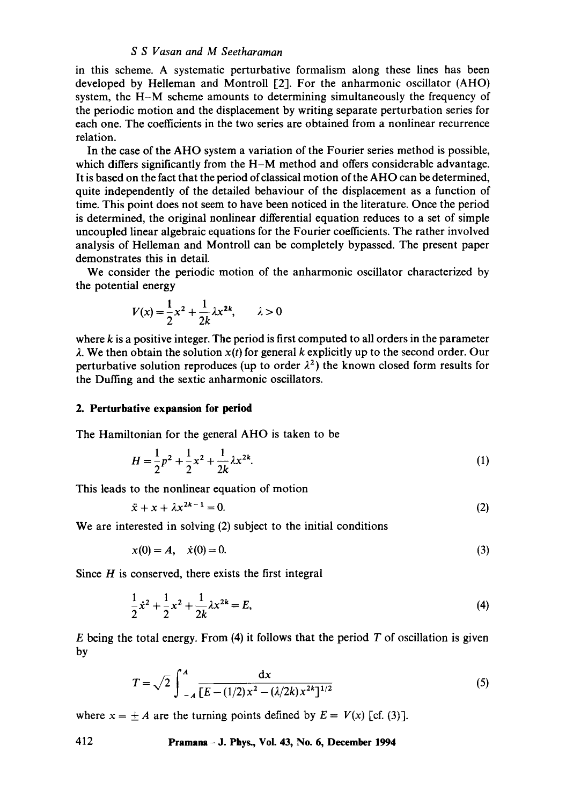in this scheme. A systematic perturbative formalism along these lines has been developed by Helleman and Montroll [2]. For the anharmonic oscillator (AHO) system, the H-M scheme amounts to determining simultaneously the frequency of the periodic motion and the displacement by writing separate perturbation series for each one. The coefficients in the two series are obtained from a nonlinear recurrence relation.

In the case of the AHO system a variation of the Fourier series method is possible, which differs significantly from the  $H-M$  method and offers considerable advantage. It is based on the fact that the period of classical motion of the AHO can be determined, quite independently of the detailed behaviour of the displacement as a function of time. This point does not seem to have been noticed in the literature. Once the period is determined, the original nonlinear differential equation reduces to a set of simple uncoupled linear algebraic equations for the Fourier coefficients. The rather involved analysis of Helleman and Montroll can be completely bypassed. The present paper demonstrates this in detail.

We consider the periodic motion of the anharmonic oscillator characterized by the potential energy

$$
V(x) = \frac{1}{2}x^2 + \frac{1}{2k}\lambda x^{2k}, \qquad \lambda > 0
$$

where  $k$  is a positive integer. The period is first computed to all orders in the parameter  $\lambda$ . We then obtain the solution  $x(t)$  for general k explicitly up to the second order. Our perturbative solution reproduces (up to order  $\lambda^2$ ) the known closed form results for the Duffing and the sextic anharmonic oscillators.

## **2. Perturbative expansion for period**

The Hamiltonian for the general AHO is taken to be

$$
H = \frac{1}{2}p^2 + \frac{1}{2}x^2 + \frac{1}{2k}\lambda x^{2k}.
$$
 (1)

This leads to the nonlinear equation of motion

$$
\ddot{x} + x + \lambda x^{2k-1} = 0. \tag{2}
$$

We are interested in solving (2) subject to the initial conditions

$$
x(0) = A, \quad \dot{x}(0) = 0. \tag{3}
$$

Since  $H$  is conserved, there exists the first integral

$$
\frac{1}{2}\dot{x}^2 + \frac{1}{2}x^2 + \frac{1}{2k}\lambda x^{2k} = E,
$$
\n(4)

 $E$  being the total energy. From (4) it follows that the period  $T$  of oscillation is given by

$$
T = \sqrt{2} \int_{-A}^{A} \frac{dx}{[E - (1/2)x^2 - (\lambda/2k)x^{2k}]^{1/2}}
$$
 (5)

where  $x = \pm A$  are the turning points defined by  $E = V(x)$  [cf. (3)].

**412 Pramana - J. Phys., Vol. 43, No. 6, December 1994**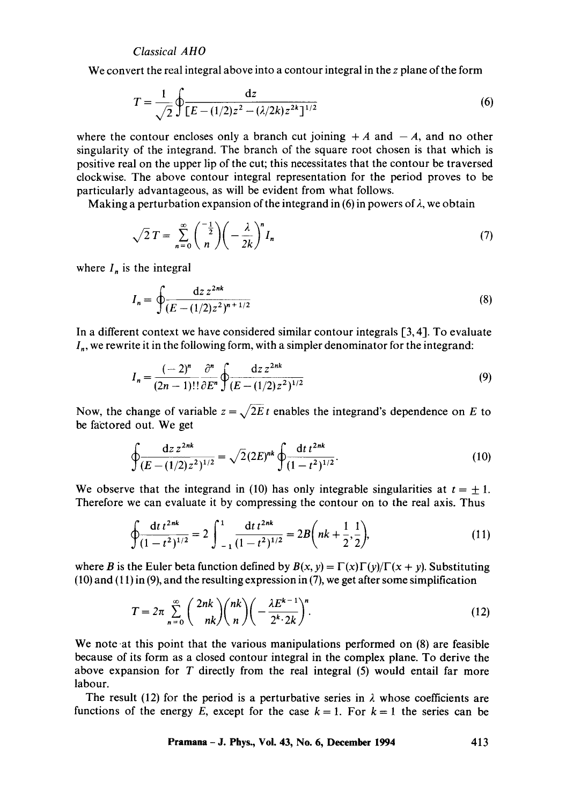We convert the real integral above into a contour integral in the z plane of the form

$$
T = \frac{1}{\sqrt{2}} \oint \frac{dz}{[E - (1/2)z^2 - (\lambda/2k)z^{2k}]^{1/2}}
$$
(6)

where the contour encloses only a branch cut joining  $+A$  and  $-A$ , and no other singularity of the integrand. The branch of the square root chosen is that which is positive real on the upper lip of the cut; this necessitates that the contour be traversed clockwise. The above contour integral representation for the period proves to be particularly advantageous, as will be evident from what follows.

Making a perturbation expansion of the integrand in (6) in powers of  $\lambda$ , we obtain

$$
\sqrt{2}T = \sum_{n=0}^{\infty} {\binom{-\frac{1}{2}}{n}} \left(-\frac{\lambda}{2k}\right)^n I_n \tag{7}
$$

where  $I_n$  is the integral

$$
I_n = \oint \frac{\mathrm{d}z \, z^{2nk}}{(E - (1/2)z^2)^{n+1/2}} \tag{8}
$$

In a different context we have considered similar contour integrals [3, 4]. To evaluate  $I_n$ , we rewrite it in the following form, with a simpler denominator for the integrand:

$$
I_n = \frac{(-2)^n}{(2n-1)!!} \frac{\partial^n}{\partial E^n} \oint \frac{dz \, z^{2nk}}{(E - (1/2)z^2)^{1/2}}
$$
(9)

Now, the change of variable  $z = \sqrt{2E} t$  enables the integrand's dependence on E to be factored out. We get

$$
\oint \frac{\mathrm{d}z \, z^{2nk}}{(E - (1/2)z^2)^{1/2}} = \sqrt{2} (2E)^{nk} \oint \frac{\mathrm{d}t \, t^{2nk}}{(1 - t^2)^{1/2}}.
$$
\n(10)

We observe that the integrand in (10) has only integrable singularities at  $t = \pm 1$ . Therefore we can evaluate it by compressing the contour on to the real axis. Thus

$$
\oint \frac{\mathrm{d}t \, t^{2nk}}{(1-t^2)^{1/2}} = 2 \int_{-1}^1 \frac{\mathrm{d}t \, t^{2nk}}{(1-t^2)^{1/2}} = 2B\bigg(nk + \frac{1}{2}, \frac{1}{2}\bigg),\tag{11}
$$

where B is the Euler beta function defined by  $B(x, y) = \Gamma(x)\Gamma(y)/\Gamma(x + y)$ . Substituting (10) and (11) in (9), and the resulting expression in (7), we get after some simplification

$$
T = 2\pi \sum_{n=0}^{\infty} {2nk \choose nk} {nk \choose n} \left( -\frac{\lambda E^{k-1}}{2^k \cdot 2k} \right)^n.
$$
 (12)

We note at this point that the various manipulations performed on  $(8)$  are feasible because of its form as a closed contour integral in the complex plane. To derive the above expansion for T directly from the real integral (5) would entail far more labour.

The result (12) for the period is a perturbative series in  $\lambda$  whose coefficients are functions of the energy E, except for the case  $k = 1$ . For  $k = 1$  the series can be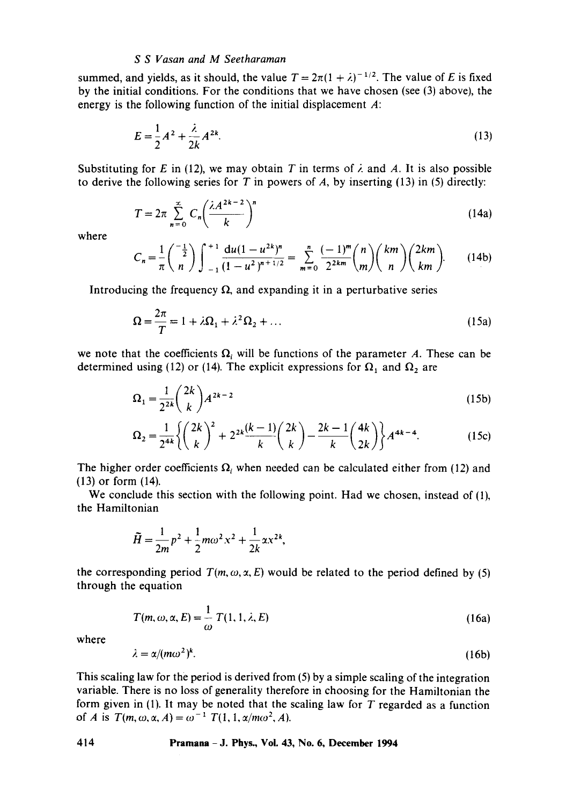summed, and yields, as it should, the value  $T = 2\pi(1 + \lambda)^{-1/2}$ . The value of E is fixed by the initial conditions. For the conditions that we have chosen (see (3) above), the energy is the following function of the initial displacement  $A$ :

$$
E = \frac{1}{2}A^2 + \frac{\lambda}{2k}A^{2k}.
$$
 (13)

Substituting for E in (12), we may obtain T in terms of  $\lambda$  and A. It is also possible to derive the following series for T in powers of A, by inserting  $(13)$  in  $(5)$  directly:

$$
T = 2\pi \sum_{n=0}^{\infty} C_n \left(\frac{\lambda A^{2k-2}}{k}\right)^n
$$
 (14a)

where

$$
C_n = \frac{1}{\pi} \binom{-\frac{1}{2}}{n} \int_{-1}^{+1} \frac{du(1 - u^{2k})^n}{(1 - u^2)^{n + 1/2}} = \sum_{m=0}^n \frac{(-1)^m}{2^{2km}} \binom{n}{m} \binom{km}{n} \binom{2km}{km}.
$$
 (14b)

Introducing the frequency  $\Omega$ , and expanding it in a perturbative series

$$
\Omega = \frac{2\pi}{T} = 1 + \lambda \Omega_1 + \lambda^2 \Omega_2 + \dots \tag{15a}
$$

we note that the coefficients  $\Omega_i$  will be functions of the parameter A. These can be determined using (12) or (14). The explicit expressions for  $\Omega_1$  and  $\Omega_2$  are

$$
\Omega_1 = \frac{1}{2^{2k}} \binom{2k}{k} A^{2k-2} \tag{15b}
$$

$$
\Omega_2 = \frac{1}{2^{4k}} \left\{ \binom{2k}{k}^2 + 2^{2k} \frac{(k-1)}{k} \binom{2k}{k} - \frac{2k-1}{k} \binom{4k}{2k} \right\} A^{4k-4}.
$$
 (15c)

The higher order coefficients  $\Omega_i$  when needed can be calculated either from (12) and (13) or form (14).

We conclude this section with the following point. Had we chosen, instead of (1), the Hamiltonian

$$
\widetilde{H} = \frac{1}{2m}p^2 + \frac{1}{2}m\omega^2 x^2 + \frac{1}{2k}ax^{2k},
$$

the corresponding period  $T(m, \omega, \alpha, E)$  would be related to the period defined by (5) through the equation

$$
T(m,\omega,\alpha,E) = \frac{1}{\omega} T(1,1,\lambda,E)
$$
 (16a)

where

$$
\lambda = \alpha/(m\omega^2)^k. \tag{16b}
$$

This scaling law for the period is derived from (5) by a simple scaling of the integration variable. There is no loss of generality therefore in choosing for the Hamiltonian the form given in (1). It may be noted that the scaling law for  $T$  regarded as a function of *A* is  $T(m, \omega, \alpha, A) = \omega^{-1} T(1, 1, \alpha/m\omega^2, A).$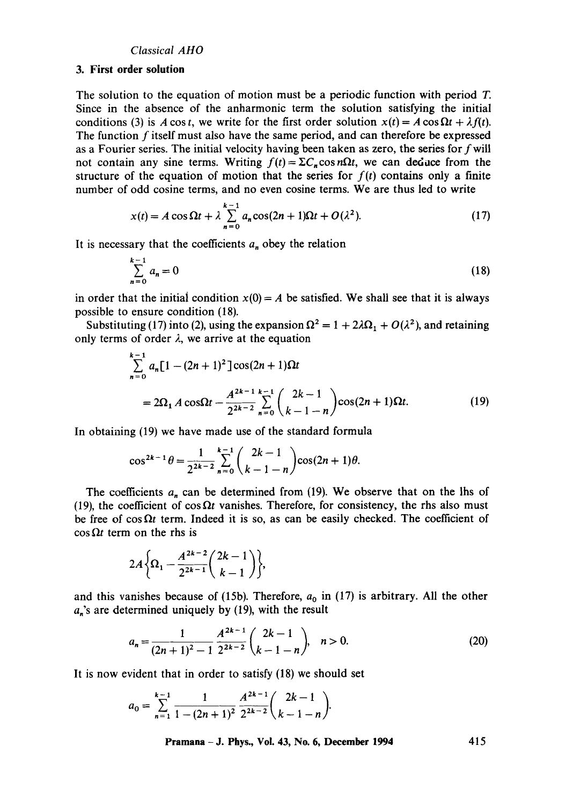#### **3. First order solution**

The solution to the equation of motion must be a periodic function with period T. Since in the absence of the anharmonic term the solution satisfying the initial conditions (3) is A cos t, we write for the first order solution  $x(t) = A \cos \Omega t + \lambda f(t)$ . The function  $f$  itself must also have the same period, and can therefore be expressed as a Fourier series. The initial velocity having been taken as zero, the series for fwill not contain any sine terms. Writing  $f(t) = \sum C_n \cos n\Omega t$ , we can deduce from the structure of the equation of motion that the series for  $f(t)$  contains only a finite number of odd cosine terms, and no even cosine terms. We are thus led to write

$$
x(t) = A\cos\Omega t + \lambda \sum_{n=0}^{k-1} a_n \cos(2n+1)\Omega t + O(\lambda^2). \tag{17}
$$

It is necessary that the coefficients  $a_n$  obey the relation

$$
\sum_{n=0}^{k-1} a_n = 0 \tag{18}
$$

in order that the initial condition  $x(0) = A$  be satisfied. We shall see that it is always possible to ensure condition (18).

Substituting (17) into (2), using the expansion  $\Omega^2 = 1 + 2\lambda\Omega_1 + O(\lambda^2)$ , and retaining only terms of order  $\lambda$ , we arrive at the equation

$$
\sum_{n=0}^{k-1} a_n [1 - (2n+1)^2] \cos(2n+1) \Omega t
$$
  
=  $2\Omega_1 A \cos \Omega t - \frac{A^{2k-1}}{2^{2k-2}} \sum_{n=0}^{k-1} {2k-1 \choose k-1-n} \cos(2n+1) \Omega t.$  (19)

In obtaining (19) we have made use of the standard formula

$$
\cos^{2k-1}\theta = \frac{1}{2^{2k-2}}\sum_{n=0}^{k-1} \binom{2k-1}{k-1-n} \cos(2n+1)\theta.
$$

The coefficients  $a_n$  can be determined from (19). We observe that on the lhs of (19), the coefficient of  $\cos \Omega t$  vanishes. Therefore, for consistency, the rhs also must be free of  $\cos \Omega t$  term. Indeed it is so, as can be easily checked. The coefficient of  $\cos \Omega t$  term on the rhs is

$$
2A\bigg\{\Omega_1-\frac{A^{2k-2}}{2^{2k-1}}\binom{2k-1}{k-1}\bigg\},\,
$$

and this vanishes because of (15b). Therefore,  $a_0$  in (17) is arbitrary. All the other  $a_n$ 's are determined uniquely by (19), with the result

$$
a_n = \frac{1}{(2n+1)^2 - 1} \frac{A^{2k-1}}{2^{2k-2}} {2k-1 \choose k-1-n}, \quad n > 0.
$$
 (20)

It is now evident that in order to satisfy (18) we should set

$$
a_0 = \sum_{n=1}^{k-1} \frac{1}{1 - (2n+1)^2} \frac{A^{2k-1}}{2^{2k-2}} {2k-1 \choose k-1-n}.
$$

**Pramana- J. Phys., Vol. 43, No. 6, December 1994 415**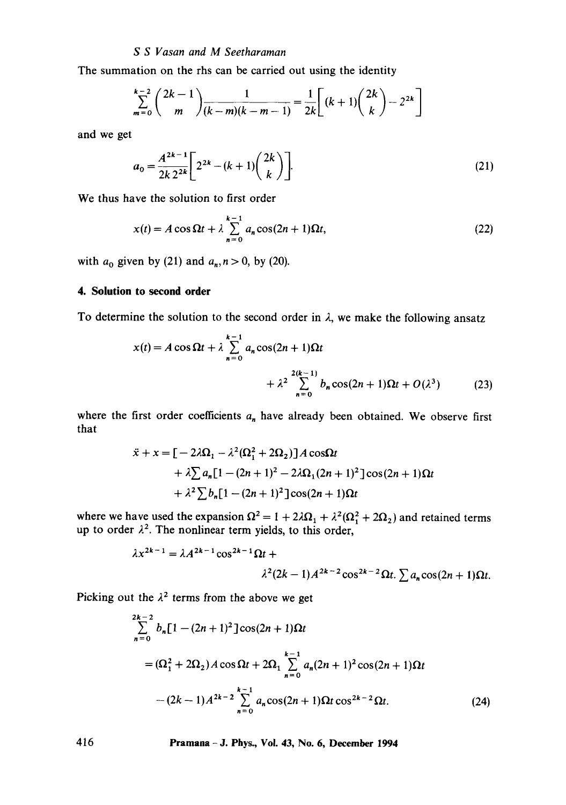The summation on the rhs can be carried out using the identity

$$
\sum_{m=0}^{k-2} {2k-1 \choose m} \frac{1}{(k-m)(k-m-1)} = \frac{1}{2k} \left[ (k+1) {2k \choose k} - 2^{2k} \right]
$$

and we get

$$
a_0 = \frac{A^{2k-1}}{2k \, 2^{2k}} \left[ 2^{2k} - (k+1) \binom{2k}{k} \right].
$$
 (21)

We thus have the solution to first order

$$
x(t) = A\cos\Omega t + \lambda \sum_{n=0}^{k-1} a_n \cos(2n+1)\Omega t,
$$
\n(22)

with  $a_0$  given by (21) and  $a_n$ ,  $n > 0$ , by (20).

## **4. Solution to second order**

To determine the solution to the second order in  $\lambda$ , we make the following ansatz

$$
x(t) = A \cos \Omega t + \lambda \sum_{n=0}^{k-1} a_n \cos(2n+1)\Omega t + \lambda^2 \sum_{n=0}^{2(k-1)} b_n \cos(2n+1)\Omega t + O(\lambda^3)
$$
 (23)

where the first order coefficients  $a_n$  have already been obtained. We observe first that

$$
\ddot{x} + x = \left[ -2\lambda \Omega_1 - \lambda^2 (\Omega_1^2 + 2\Omega_2) \right] A \cos\Omega t
$$
  
+  $\lambda \sum a_n [1 - (2n + 1)^2 - 2\lambda \Omega_1 (2n + 1)^2] \cos((2n + 1)\Omega t)$   
+  $\lambda^2 \sum b_n [1 - (2n + 1)^2] \cos((2n + 1)\Omega t)$ 

where we have used the expansion  $\Omega^2 = 1 + 2\lambda\Omega_1 + \lambda^2(\Omega_1^2 + 2\Omega_2)$  and retained terms up to order  $\lambda^2$ . The nonlinear term yields, to this order,

$$
\lambda x^{2k-1} = \lambda A^{2k-1} \cos^{2k-1} \Omega t +
$$
  

$$
\lambda^2 (2k-1) A^{2k-2} \cos^{2k-2} \Omega t \cdot \sum a_n \cos(2n+1) \Omega t.
$$

Picking out the  $\lambda^2$  terms from the above we get

$$
\sum_{n=0}^{2k-2} b_n [1 - (2n+1)^2] \cos(2n+1) \Omega t
$$
  
=  $(\Omega_1^2 + 2\Omega_2) A \cos \Omega t + 2\Omega_1 \sum_{n=0}^{k-1} a_n (2n+1)^2 \cos(2n+1) \Omega t$   
-  $(2k-1) A^{2k-2} \sum_{n=0}^{k-1} a_n \cos(2n+1) \Omega t \cos^{2k-2} \Omega t.$  (24)

**416 Pramana -J. Phys., Vol. 43, No. 6, December 1994**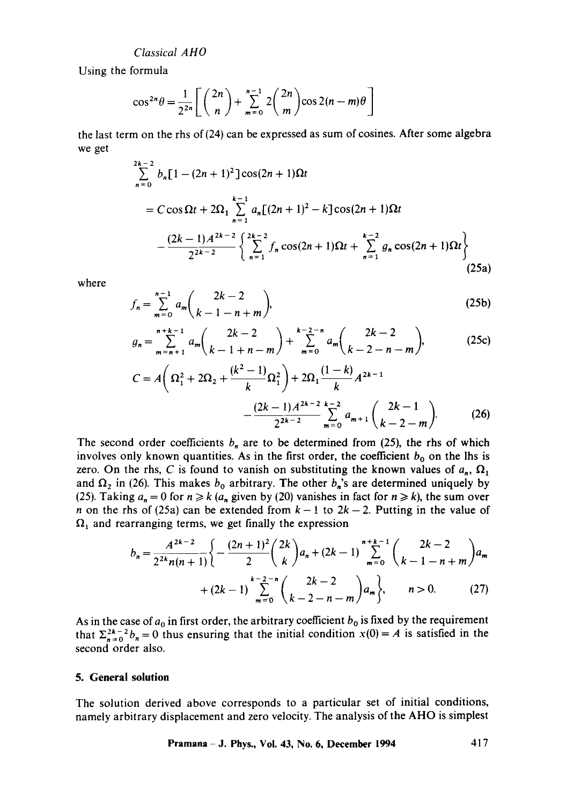Using the formula

$$
\cos^{2n}\theta = \frac{1}{2^{2n}}\left[\binom{2n}{n} + \sum_{m=0}^{n-1} 2\binom{2n}{m} \cos 2(n-m)\theta\right]
$$

the last term on the rhs of (24) can be expressed as sum of cosines. After some algebra we get

$$
\sum_{n=0}^{2k-2} b_n [1 - (2n+1)^2] \cos(2n+1) \Omega t
$$
  
=  $C \cos \Omega t + 2\Omega_1 \sum_{n=1}^{k-1} a_n [(2n+1)^2 - k] \cos(2n+1) \Omega t$   

$$
- \frac{(2k-1)A^{2k-2}}{2^{2k-2}} \left\{ \sum_{n=1}^{2k-2} f_n \cos(2n+1) \Omega t + \sum_{n=1}^{k-2} g_n \cos(2n+1) \Omega t \right\}
$$
(25a)

where

$$
f_n = \sum_{m=0}^{n-1} a_m {2k-2 \choose k-1-n+m},
$$
 (25b)

$$
g_n = \sum_{m=n+1}^{n+k-1} a_m {2k-2 \choose k-1+n-m} + \sum_{m=0}^{k-2-n} a_m {2k-2 \choose k-2-n-m},
$$
(25c)

$$
C = A\left(\Omega_1^2 + 2\Omega_2 + \frac{(k^2 - 1)}{k}\Omega_1^2\right) + 2\Omega_1 \frac{(1 - k)}{k} A^{2k - 1} - \frac{(2k - 1)A^{2k - 2}}{2^{2k - 2}} \sum_{m = 0}^{k - 2} a_{m + 1} \binom{2k - 1}{k - 2 - m}.
$$
 (26)

The second order coefficients  $b_n$  are to be determined from (25), the rhs of which involves only known quantities. As in the first order, the coefficient  $b_0$  on the lhs is zero. On the rhs, C is found to vanish on substituting the known values of  $a_n$ ,  $\Omega_1$ and  $\Omega_2$  in (26). This makes  $b_0$  arbitrary. The other  $b_n$ 's are determined uniquely by (25). Taking  $a_n = 0$  for  $n \ge k$  ( $a_n$  given by (20) vanishes in fact for  $n \ge k$ ), the sum over n on the rhs of (25a) can be extended from  $k - 1$  to  $2k - 2$ . Putting in the value of  $\Omega_1$  and rearranging terms, we get finally the expression

$$
b_n = \frac{A^{2k-2}}{2^{2k}n(n+1)} \left\{ -\frac{(2n+1)^2}{2} {2k \choose k} a_n + (2k-1) \sum_{m=0}^{n+k-1} {2k-2 \choose k-1-n+m} a_m + (2k-1) \sum_{m=0}^{k-2-n} {2k-2 \choose k-2-n-m} a_m \right\}, \qquad n > 0. \tag{27}
$$

As in the case of  $a_0$  in first order, the arbitrary coefficient  $b_0$  is fixed by the requirement that  $\sum_{n=0}^{2k-2} b_n = 0$  thus ensuring that the initial condition  $x(0) = A$  is satisfied in the second order also.

## **5. General solution**

The solution derived above corresponds to a particular set of initial conditions, namely arbitrary displacement and zero velocity. The analysis of the AHO is simplest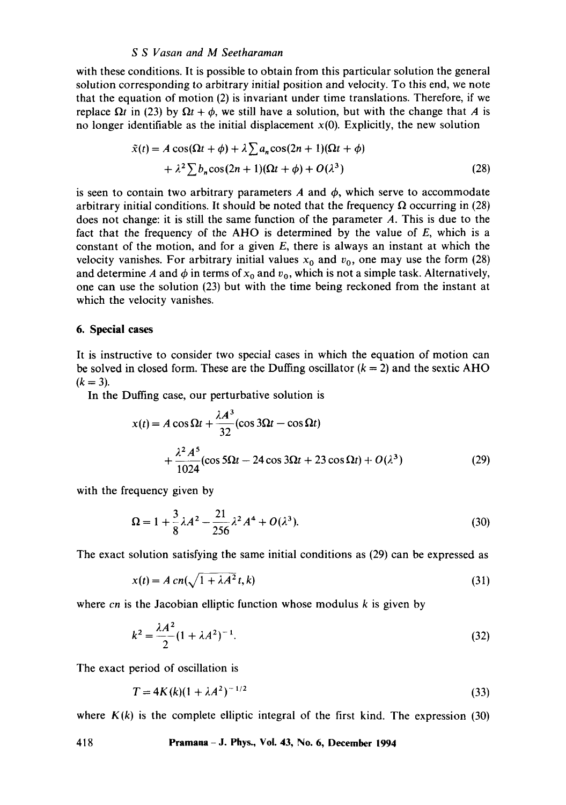with these conditions. It is possible to obtain from this particular solution the general solution corresponding to arbitrary initial position and velocity. To this end, we note that the equation of motion (2) is invariant under time translations. Therefore, if we replace  $\Omega t$  in (23) by  $\Omega t + \phi$ , we still have a solution, but with the change that A is no longer identifiable as the initial displacement  $x(0)$ . Explicitly, the new solution

$$
\tilde{x}(t) = A\cos(\Omega t + \phi) + \lambda \sum a_n \cos(2n + 1)(\Omega t + \phi)
$$
  
+ 
$$
\lambda^2 \sum b_n \cos(2n + 1)(\Omega t + \phi) + O(\lambda^3)
$$
 (28)

is seen to contain two arbitrary parameters A and  $\phi$ , which serve to accommodate arbitrary initial conditions. It should be noted that the frequency  $\Omega$  occurring in (28) does not change: it is still the same function of the parameter A. This is due to the fact that the frequency of the AHO is determined by the value of  $E$ , which is a constant of the motion, and for a given  $E$ , there is always an instant at which the velocity vanishes. For arbitrary initial values  $x_0$  and  $v_0$ , one may use the form (28) and determine A and  $\phi$  in terms of  $x_0$  and  $v_0$ , which is not a simple task. Alternatively, one can use the solution (23) but with the time being reckoned from the instant at which the velocity vanishes.

## **6. Special cases**

It is instructive to consider two special cases in which the equation of motion can be solved in closed form. These are the Duffing oscillator  $(k = 2)$  and the sextic AHO  $(k = 3)$ .

In the Duffing case, our perturbative solution is

$$
x(t) = A\cos\Omega t + \frac{\lambda A^3}{32}(\cos 3\Omega t - \cos \Omega t)
$$
  
+ 
$$
\frac{\lambda^2 A^5}{1024}(\cos 5\Omega t - 24\cos 3\Omega t + 23\cos \Omega t) + O(\lambda^3)
$$
 (29)

with the frequency given by

$$
\Omega = 1 + \frac{3}{8}\lambda A^2 - \frac{21}{256}\lambda^2 A^4 + O(\lambda^3). \tag{30}
$$

The exact solution satisfying the same initial conditions as (29) can be expressed as

$$
x(t) = A \operatorname{cn}(\sqrt{1 + \lambda A^2} t, k) \tag{31}
$$

where *cn* is the Jacobian elliptic function whose modulus k is given by

$$
k^2 = \frac{\lambda A^2}{2} (1 + \lambda A^2)^{-1}.
$$
 (32)

The exact period of oscillation is

$$
T = 4K(k)(1 + \lambda A^2)^{-1/2}
$$
 (33)

where  $K(k)$  is the complete elliptic integral of the first kind. The expression (30)

**418 Pramana- J. Phys., Vol. 43, No. 6, December 1994**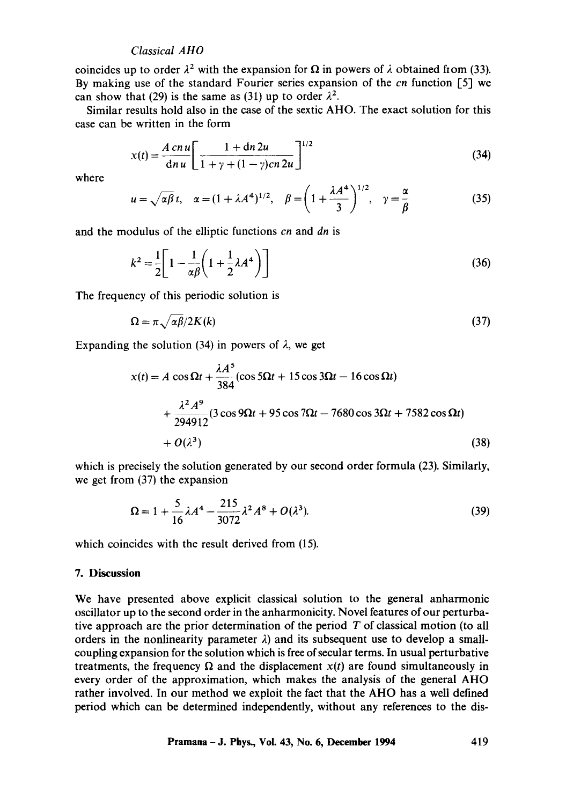coincides up to order  $\lambda^2$  with the expansion for  $\Omega$  in powers of  $\lambda$  obtained from (33). By making use of the standard Fourier series expansion of the *cn* function [5] we can show that (29) is the same as (31) up to order  $\lambda^2$ .

Similar results hold also in the case of the sextic AHO. The exact solution for this case can be written in the form

$$
x(t) = \frac{A \, c n \, u}{\mathrm{d} n \, u} \left[ \frac{1 + \mathrm{d} n \, 2u}{1 + \gamma + (1 - \gamma) c n \, 2u} \right]^{1/2} \tag{34}
$$

where

$$
u = \sqrt{\alpha \beta} t, \quad \alpha = (1 + \lambda A^4)^{1/2}, \quad \beta = \left(1 + \frac{\lambda A^4}{3}\right)^{1/2}, \quad \gamma = \frac{\alpha}{\beta}
$$
 (35)

and the modulus of the elliptic functions *cn* and *dn* is

$$
k^2 = \frac{1}{2} \left[ 1 - \frac{1}{\alpha \beta} \left( 1 + \frac{1}{2} \lambda A^4 \right) \right]
$$
 (36)

The frequency of this periodic solution is

$$
\Omega = \pi \sqrt{\alpha \beta} / 2K(k) \tag{37}
$$

Expanding the solution (34) in powers of  $\lambda$ , we get

$$
x(t) = A \cos \Omega t + \frac{\lambda A^5}{384} (\cos 5\Omega t + 15 \cos 3\Omega t - 16 \cos \Omega t)
$$
  
+ 
$$
\frac{\lambda^2 A^9}{294912} (3 \cos 9\Omega t + 95 \cos 7\Omega t - 7680 \cos 3\Omega t + 7582 \cos \Omega t)
$$
  
+ 
$$
O(\lambda^3)
$$
 (38)

which is precisely the solution generated by our second order formula (23). Similarly, we get from (37) the expansion

$$
\Omega = 1 + \frac{5}{16} \lambda A^4 - \frac{215}{3072} \lambda^2 A^8 + O(\lambda^3). \tag{39}
$$

which coincides with the result derived from  $(15)$ .

# **7. Discussion**

We have presented above explicit classical solution to the general anharmonic oscillator up to the second order in the anharmonicity. Novel features of our perturbative approach are the prior determination of the period  $T$  of classical motion (to all orders in the nonlinearity parameter  $\lambda$ ) and its subsequent use to develop a smallcoupling expansion for the solution which is free of secular terms. In usual perturbative treatments, the frequency  $\Omega$  and the displacement  $x(t)$  are found simultaneously in every order of the approximation, which makes the analysis of the general AHO rather involved. In our method we exploit the fact that the AHO has a well defined period which can be determined independently, without any references to the **dis-**